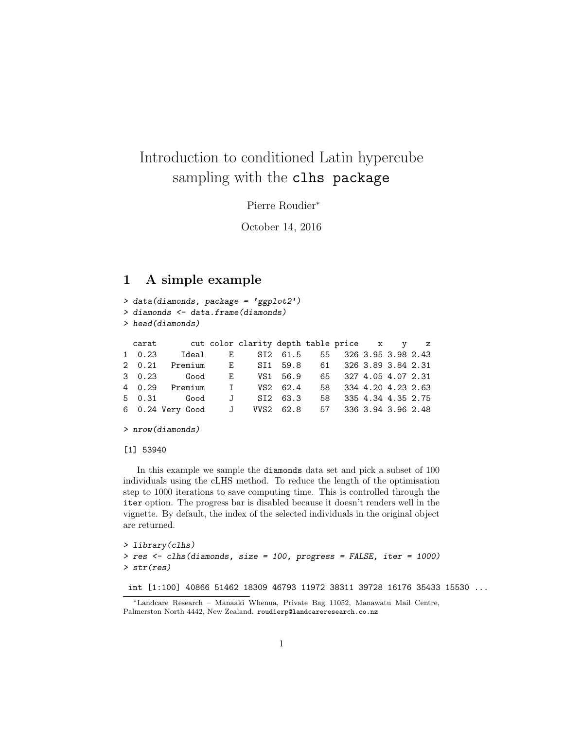# Introduction to conditioned Latin hypercube sampling with the clhs package

Pierre Roudier<sup>∗</sup>

October 14, 2016

# 1 A simple example

```
> data(diamonds, package = 'ggplot2')
> diamonds <- data.frame(diamonds)
> head(diamonds)
 carat cut color clarity depth table price x y z
1 0.23 Ideal E SI2 61.5 55 326 3.95 3.98 2.43
2 0.21 Premium E SI1 59.8 61 326 3.89 3.84 2.31
3 0.23 Good E VS1 56.9 65 327 4.05 4.07 2.31
       Premium I VS2 62.4 58 334 4.20 4.23 2.63
5 0.31 Good J SI2 63.3 58 335 4.34 4.35 2.75
6 0.24 Very Good J VVS2 62.8 57 336 3.94 3.96 2.48
```

```
> nrow(diamonds)
```
#### [1] 53940

In this example we sample the diamonds data set and pick a subset of 100 individuals using the cLHS method. To reduce the length of the optimisation step to 1000 iterations to save computing time. This is controlled through the iter option. The progress bar is disabled because it doesn't renders well in the vignette. By default, the index of the selected individuals in the original object are returned.

```
> library(clhs)
> res <- clhs(diamonds, size = 100, progress = FALSE, iter = 1000)
> str(res)
```
int [1:100] 40866 51462 18309 46793 11972 38311 39728 16176 35433 15530 ...

<sup>∗</sup>Landcare Research – Manaaki Whenua, Private Bag 11052, Manawatu Mail Centre, Palmerston North 4442, New Zealand. roudierp@landcareresearch.co.nz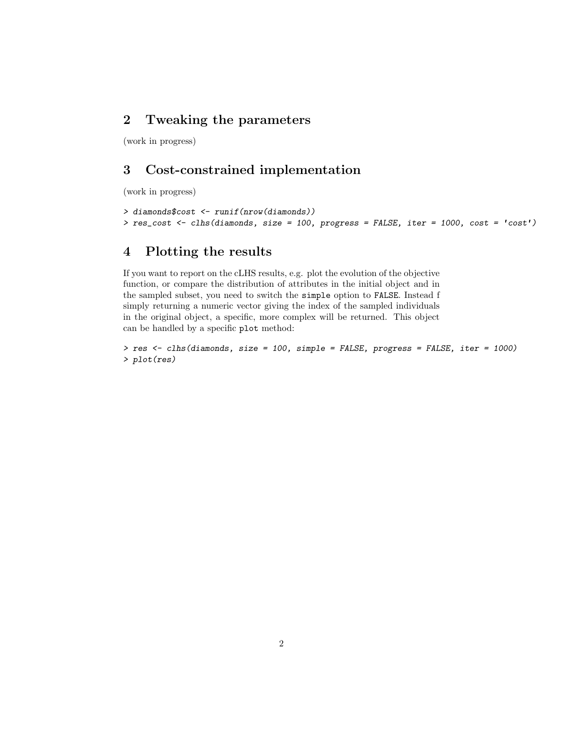# 2 Tweaking the parameters

(work in progress)

# 3 Cost-constrained implementation

(work in progress)

```
> diamonds$cost <- runif(nrow(diamonds))
> res_cost <- clhs(diamonds, size = 100, progress = FALSE, iter = 1000, cost = 'cost')
```
### 4 Plotting the results

If you want to report on the cLHS results, e.g. plot the evolution of the objective function, or compare the distribution of attributes in the initial object and in the sampled subset, you need to switch the simple option to FALSE. Instead f simply returning a numeric vector giving the index of the sampled individuals in the original object, a specific, more complex will be returned. This object can be handled by a specific plot method:

```
> res <- clhs(diamonds, size = 100, simple = FALSE, progress = FALSE, iter = 1000)
> plot(res)
```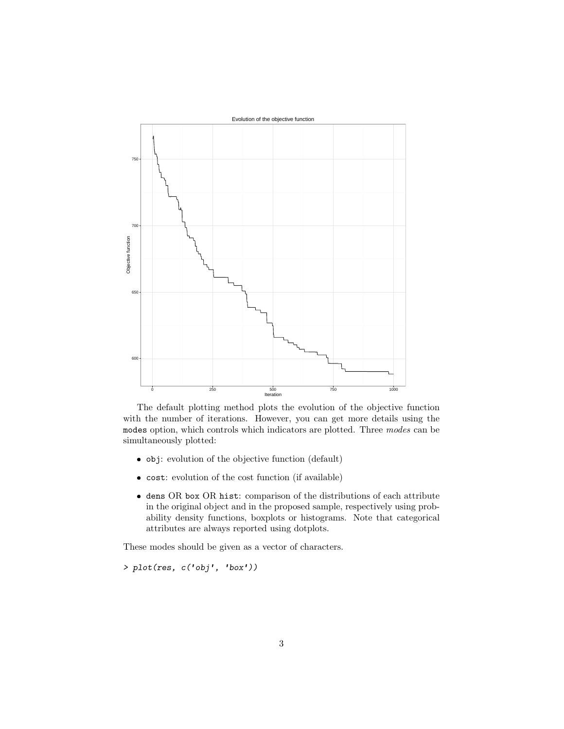

The default plotting method plots the evolution of the objective function with the number of iterations. However, you can get more details using the modes option, which controls which indicators are plotted. Three modes can be simultaneously plotted:

- obj: evolution of the objective function (default)
- cost: evolution of the cost function (if available)
- dens OR box OR hist: comparison of the distributions of each attribute in the original object and in the proposed sample, respectively using probability density functions, boxplots or histograms. Note that categorical attributes are always reported using dotplots.

These modes should be given as a vector of characters.

> plot(res, c('obj', 'box'))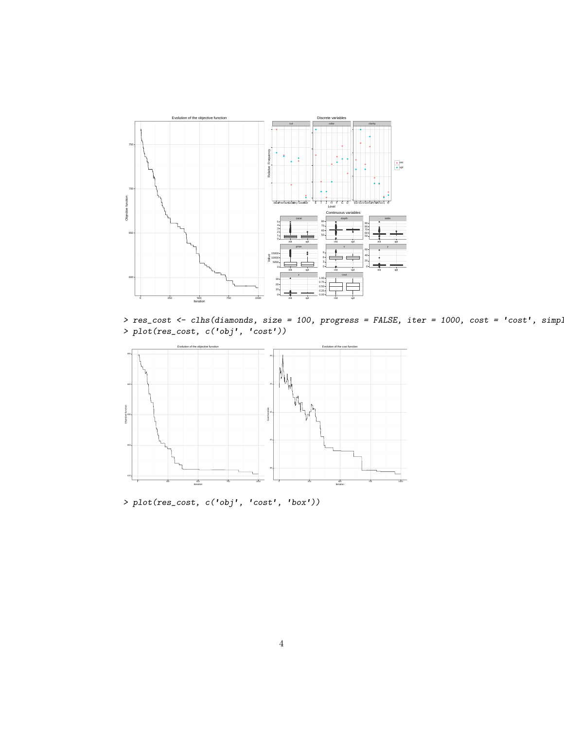

 $>$  res\_cost <- clhs(diamonds, size = 100, progress = FALSE, iter = 1000, cost = 'cost', simple > plot(res\_cost, c('obj', 'cost'))



> plot(res\_cost, c('obj', 'cost', 'box'))